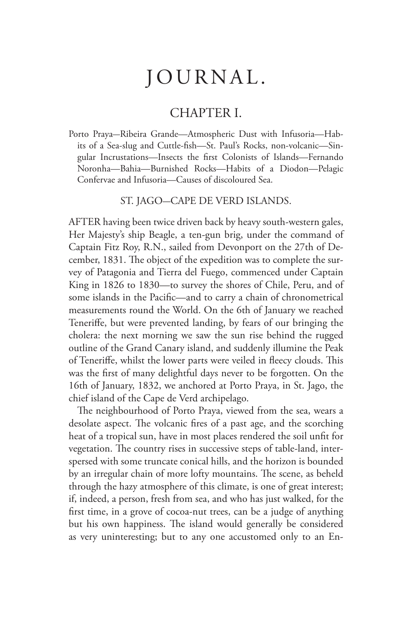## JOURNAL.

## CHAPTER I.

Porto Praya-Ribeira Grande—Atmospheric Dust with Infusoria—Habits of a Sea-slug and Cuttle-fish—St. Paul's Rocks, non-volcanic—Singular Incrustations—Insects the first Colonists of Islands—Fernando Noronha—Bahia—Burnished Rocks—Habits of a Diodon—Pelagic Confervae and Infusoria—Causes of discoloured Sea.

ST. JAGO-CAPE DE VERD ISLANDS.

AFTER having been twice driven back by heavy south-western gales, Her Majesty's ship Beagle, a ten-gun brig, under the command of Captain Fitz Roy, R.N., sailed from Devonport on the 27th of December, 1831. The object of the expedition was to complete the survey of Patagonia and Tierra del Fuego, commenced under Captain King in 1826 to 1830—to survey the shores of Chile, Peru, and of some islands in the Pacific—and to carry a chain of chronometrical measurements round the World. On the 6th of January we reached Teneriffe, but were prevented landing, by fears of our bringing the cholera: the next morning we saw the sun rise behind the rugged outline of the Grand Canary island, and suddenly illumine the Peak of Teneriffe, whilst the lower parts were veiled in fleecy clouds. This was the first of many delightful days never to be forgotten. On the 16th of January, 1832, we anchored at Porto Praya, in St. Jago, the chief island of the Cape de Verd archipelago.

The neighbourhood of Porto Praya, viewed from the sea, wears a desolate aspect. The volcanic fires of a past age, and the scorching heat of a tropical sun, have in most places rendered the soil unfit for vegetation. The country rises in successive steps of table-land, interspersed with some truncate conical hills, and the horizon is bounded by an irregular chain of more lofty mountains. The scene, as beheld through the hazy atmosphere of this climate, is one of great interest; if, indeed, a person, fresh from sea, and who has just walked, for the first time, in a grove of cocoa-nut trees, can be a judge of anything but his own happiness. The island would generally be considered as very uninteresting; but to any one accustomed only to an En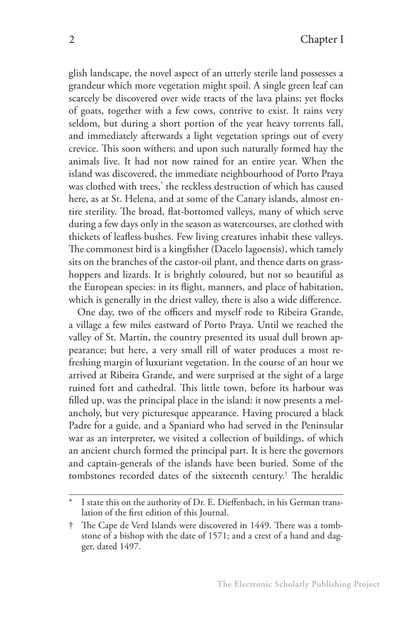glish landscape, the novel aspect of an utterly sterile land possesses a grandeur which more vegetation might spoil. A single green leaf can scarcely be discovered over wide tracts of the lava plains; yet flocks of goats, together with a few cows, contrive to exist. It rains very seldom, but during a short portion of the year heavy torrents fall, and immediately afterwards a light vegetation springs out of every crevice. This soon withers; and upon such naturally formed hay the animals live. It had not now rained for an entire year. When the island was discovered, the immediate neighbourhood of Porto Praya was clothed with trees,\* the reckless destruction of which has caused here, as at St. Helena, and at some of the Canary islands, almost entire sterility. The broad, flat-bottomed valleys, many of which serve during a few days only in the season as watercourses, are clothed with thickets of leafless bushes. Few living creatures inhabit these valleys. The commonest bird is a kingfisher (Dacelo Iagoensis), which tamely sits on the branches of the castor-oil plant, and thence darts on grasshoppers and lizards. It is brightly coloured, but not so beautiful as the European species: in its flight, manners, and place of habitation, which is generally in the driest valley, there is also a wide difference.

One day, two of the officers and myself rode to Ribeira Grande, a village a few miles eastward of Porto Praya. Until we reached the valley of St. Martin, the country presented its usual dull brown appearance; but here, a very small rill of water produces a most refreshing margin of luxuriant vegetation. In the course of an hour we arrived at Ribeira Grande, and were surprised at the sight of a large ruined fort and cathedral. This little town, before its harbour was filled up, was the principal place in the island: it now presents a melancholy, but very picturesque appearance. Having procured a black Padre for a guide, and a Spaniard who had served in the Peninsular war as an interpreter, we visited a collection of buildings, of which an ancient church formed the principal part. It is here the governors and captain-generals of the islands have been buried. Some of the tombstones recorded dates of the sixteenth century.† The heraldic

I state this on the authority of Dr. E. Dieffenbach, in his German translation of the first edition of this Journal.

<sup>†</sup> The Cape de Verd Islands were discovered in 1449. There was a tombstone of a bishop with the date of 1571; and a crest of a hand and dagger, dated 1497.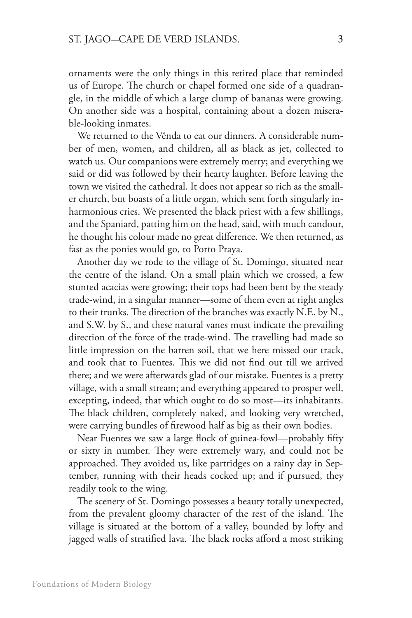ornaments were the only things in this retired place that reminded us of Europe. The church or chapel formed one side of a quadrangle, in the middle of which a large clump of bananas were growing. On another side was a hospital, containing about a dozen miserable-looking inmates.

We returned to the Vênda to eat our dinners. A considerable number of men, women, and children, all as black as jet, collected to watch us. Our companions were extremely merry; and everything we said or did was followed by their hearty laughter. Before leaving the town we visited the cathedral. It does not appear so rich as the smaller church, but boasts of a little organ, which sent forth singularly inharmonious cries. We presented the black priest with a few shillings, and the Spaniard, patting him on the head, said, with much candour, he thought his colour made no great difference. We then returned, as fast as the ponies would go, to Porto Praya.

Another day we rode to the village of St. Domingo, situated near the centre of the island. On a small plain which we crossed, a few stunted acacias were growing; their tops had been bent by the steady trade-wind, in a singular manner—some of them even at right angles to their trunks. The direction of the branches was exactly N.E. by N., and S.W. by S., and these natural vanes must indicate the prevailing direction of the force of the trade-wind. The travelling had made so little impression on the barren soil, that we here missed our track, and took that to Fuentes. This we did not find out till we arrived there; and we were afterwards glad of our mistake. Fuentes is a pretty village, with a small stream; and everything appeared to prosper well, excepting, indeed, that which ought to do so most—its inhabitants. The black children, completely naked, and looking very wretched, were carrying bundles of firewood half as big as their own bodies.

Near Fuentes we saw a large flock of guinea-fowl—probably fifty or sixty in number. They were extremely wary, and could not be approached. They avoided us, like partridges on a rainy day in September, running with their heads cocked up; and if pursued, they readily took to the wing.

The scenery of St. Domingo possesses a beauty totally unexpected, from the prevalent gloomy character of the rest of the island. The village is situated at the bottom of a valley, bounded by lofty and jagged walls of stratified lava. The black rocks afford a most striking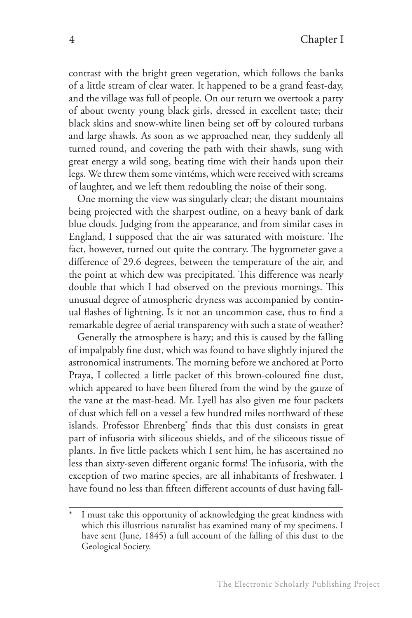contrast with the bright green vegetation, which follows the banks of a little stream of clear water. It happened to be a grand feast-day, and the village was full of people. On our return we overtook a party of about twenty young black girls, dressed in excellent taste; their black skins and snow-white linen being set off by coloured turbans and large shawls. As soon as we approached near, they suddenly all turned round, and covering the path with their shawls, sung with great energy a wild song, beating time with their hands upon their legs. We threw them some vintéms, which were received with screams of laughter, and we left them redoubling the noise of their song.

One morning the view was singularly clear; the distant mountains being projected with the sharpest outline, on a heavy bank of dark blue clouds. Judging from the appearance, and from similar cases in England, I supposed that the air was saturated with moisture. The fact, however, turned out quite the contrary. The hygrometer gave a difference of 29.6 degrees, between the temperature of the air, and the point at which dew was precipitated. This difference was nearly double that which I had observed on the previous mornings. This unusual degree of atmospheric dryness was accompanied by continual flashes of lightning. Is it not an uncommon case, thus to find a remarkable degree of aerial transparency with such a state of weather?

Generally the atmosphere is hazy; and this is caused by the falling of impalpably fine dust, which was found to have slightly injured the astronomical instruments. The morning before we anchored at Porto Praya, I collected a little packet of this brown-coloured fine dust, which appeared to have been filtered from the wind by the gauze of the vane at the mast-head. Mr. Lyell has also given me four packets of dust which fell on a vessel a few hundred miles northward of these islands. Professor Ehrenberg\* finds that this dust consists in great part of infusoria with siliceous shields, and of the siliceous tissue of plants. In five little packets which I sent him, he has ascertained no less than sixty-seven different organic forms! The infusoria, with the exception of two marine species, are all inhabitants of freshwater. I have found no less than fifteen different accounts of dust having fall-

I must take this opportunity of acknowledging the great kindness with which this illustrious naturalist has examined many of my specimens. I have sent (June, 1845) a full account of the falling of this dust to the Geological Society.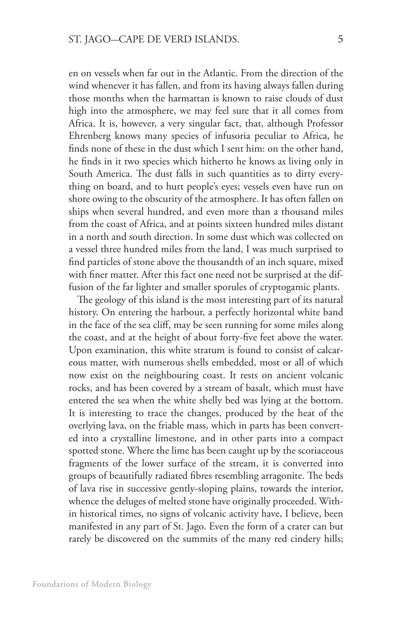en on vessels when far out in the Atlantic. From the direction of the wind whenever it has fallen, and from its having always fallen during those months when the harmattan is known to raise clouds of dust high into the atmosphere, we may feel sure that it all comes from Africa. It is, however, a very singular fact, that, although Professor Ehrenberg knows many species of infusoria peculiar to Africa, he finds none of these in the dust which I sent him: on the other hand, he finds in it two species which hitherto he knows as living only in South America. The dust falls in such quantities as to dirty everything on board, and to hurt people's eyes; vessels even have run on shore owing to the obscurity of the atmosphere. It has often fallen on ships when several hundred, and even more than a thousand miles from the coast of Africa, and at points sixteen hundred miles distant in a north and south direction. In some dust which was collected on a vessel three hundred miles from the land, I was much surprised to find particles of stone above the thousandth of an inch square, mixed with finer matter. After this fact one need not be surprised at the diffusion of the far lighter and smaller sporules of cryptogamic plants.

The geology of this island is the most interesting part of its natural history. On entering the harbour, a perfectly horizontal white band in the face of the sea cliff, may be seen running for some miles along the coast, and at the height of about forty-five feet above the water. Upon examination, this white stratum is found to consist of calcareous matter, with numerous shells embedded, most or all of which now exist on the neighbouring coast. It rests on ancient volcanic rocks, and has been covered by a stream of basalt, which must have entered the sea when the white shelly bed was lying at the bottom. It is interesting to trace the changes, produced by the heat of the overlying lava, on the friable mass, which in parts has been converted into a crystalline limestone, and in other parts into a compact spotted stone. Where the lime has been caught up by the scoriaceous fragments of the lower surface of the stream, it is converted into groups of beautifully radiated fibres resembling arragonite. The beds of lava rise in successive gently-sloping plains, towards the interior, whence the deluges of melted stone have originally proceeded. Within historical times, no signs of volcanic activity have, I believe, been manifested in any part of St. Jago. Even the form of a crater can but rarely be discovered on the summits of the many red cindery hills;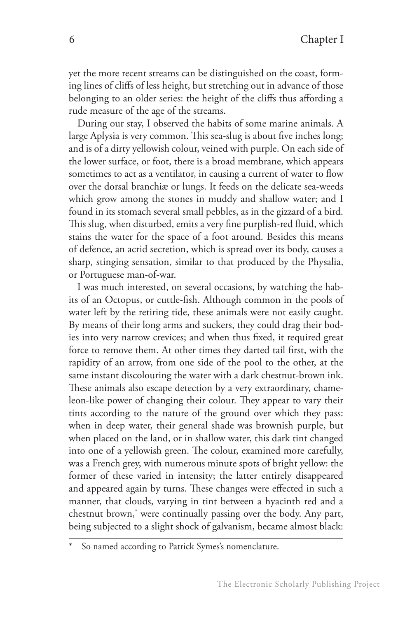yet the more recent streams can be distinguished on the coast, forming lines of cliffs of less height, but stretching out in advance of those belonging to an older series: the height of the cliffs thus affording a rude measure of the age of the streams.

During our stay, I observed the habits of some marine animals. A large Aplysia is very common. This sea-slug is about five inches long; and is of a dirty yellowish colour, veined with purple. On each side of the lower surface, or foot, there is a broad membrane, which appears sometimes to act as a ventilator, in causing a current of water to flow over the dorsal branchiæ or lungs. It feeds on the delicate sea-weeds which grow among the stones in muddy and shallow water; and I found in its stomach several small pebbles, as in the gizzard of a bird. This slug, when disturbed, emits a very fine purplish-red fluid, which stains the water for the space of a foot around. Besides this means of defence, an acrid secretion, which is spread over its body, causes a sharp, stinging sensation, similar to that produced by the Physalia, or Portuguese man-of-war.

I was much interested, on several occasions, by watching the habits of an Octopus, or cuttle-fish. Although common in the pools of water left by the retiring tide, these animals were not easily caught. By means of their long arms and suckers, they could drag their bodies into very narrow crevices; and when thus fixed, it required great force to remove them. At other times they darted tail first, with the rapidity of an arrow, from one side of the pool to the other, at the same instant discolouring the water with a dark chestnut-brown ink. These animals also escape detection by a very extraordinary, chameleon-like power of changing their colour. They appear to vary their tints according to the nature of the ground over which they pass: when in deep water, their general shade was brownish purple, but when placed on the land, or in shallow water, this dark tint changed into one of a yellowish green. The colour, examined more carefully, was a French grey, with numerous minute spots of bright yellow: the former of these varied in intensity; the latter entirely disappeared and appeared again by turns. These changes were effected in such a manner, that clouds, varying in tint between a hyacinth red and a chestnut brown,\* were continually passing over the body. Any part, being subjected to a slight shock of galvanism, became almost black:

So named according to Patrick Symes's nomenclature.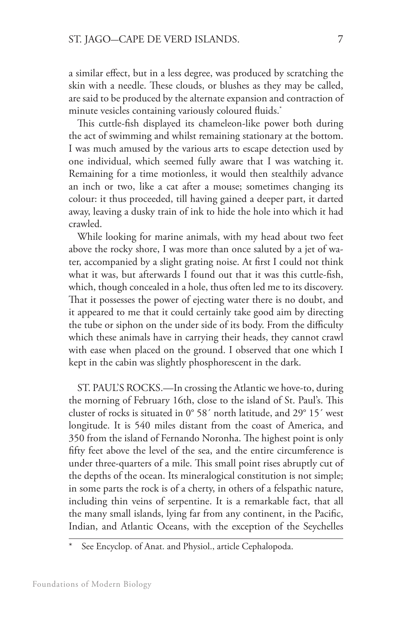a similar effect, but in a less degree, was produced by scratching the skin with a needle. These clouds, or blushes as they may be called, are said to be produced by the alternate expansion and contraction of minute vesicles containing variously coloured fluids.\*

This cuttle-fish displayed its chameleon-like power both during the act of swimming and whilst remaining stationary at the bottom. I was much amused by the various arts to escape detection used by one individual, which seemed fully aware that I was watching it. Remaining for a time motionless, it would then stealthily advance an inch or two, like a cat after a mouse; sometimes changing its colour: it thus proceeded, till having gained a deeper part, it darted away, leaving a dusky train of ink to hide the hole into which it had crawled.

While looking for marine animals, with my head about two feet above the rocky shore, I was more than once saluted by a jet of water, accompanied by a slight grating noise. At first I could not think what it was, but afterwards I found out that it was this cuttle-fish, which, though concealed in a hole, thus often led me to its discovery. That it possesses the power of ejecting water there is no doubt, and it appeared to me that it could certainly take good aim by directing the tube or siphon on the under side of its body. From the difficulty which these animals have in carrying their heads, they cannot crawl with ease when placed on the ground. I observed that one which I kept in the cabin was slightly phosphorescent in the dark.

ST. PAUL'S ROCKS.—In crossing the Atlantic we hove-to, during the morning of February 16th, close to the island of St. Paul's. This cluster of rocks is situated in 0° 58´ north latitude, and 29° 15´ west longitude. It is 540 miles distant from the coast of America, and 350 from the island of Fernando Noronha. The highest point is only fifty feet above the level of the sea, and the entire circumference is under three-quarters of a mile. This small point rises abruptly cut of the depths of the ocean. Its mineralogical constitution is not simple; in some parts the rock is of a cherty, in others of a felspathic nature, including thin veins of serpentine. It is a remarkable fact, that all the many small islands, lying far from any continent, in the Pacific, Indian, and Atlantic Oceans, with the exception of the Seychelles

See Encyclop. of Anat. and Physiol., article Cephalopoda.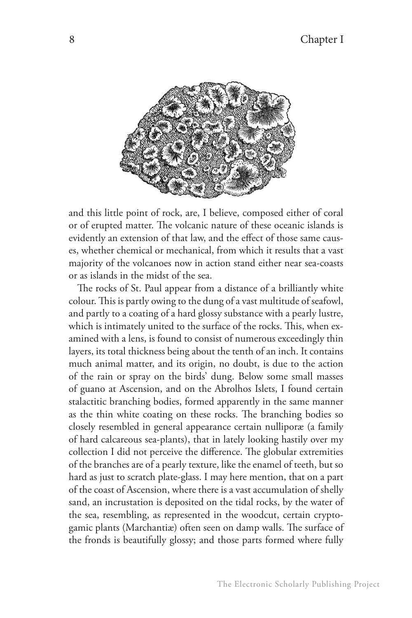

and this little point of rock, are, I believe, composed either of coral or of erupted matter. The volcanic nature of these oceanic islands is evidently an extension of that law, and the effect of those same causes, whether chemical or mechanical, from which it results that a vast majority of the volcanoes now in action stand either near sea-coasts or as islands in the midst of the sea.

The rocks of St. Paul appear from a distance of a brilliantly white colour. This is partly owing to the dung of a vast multitude of seafowl, and partly to a coating of a hard glossy substance with a pearly lustre, which is intimately united to the surface of the rocks. This, when examined with a lens, is found to consist of numerous exceedingly thin layers, its total thickness being about the tenth of an inch. It contains much animal matter, and its origin, no doubt, is due to the action of the rain or spray on the birds' dung. Below some small masses of guano at Ascension, and on the Abrolhos Islets, I found certain stalactitic branching bodies, formed apparently in the same manner as the thin white coating on these rocks. The branching bodies so closely resembled in general appearance certain nulliporæ (a family of hard calcareous sea-plants), that in lately looking hastily over my collection I did not perceive the difference. The globular extremities of the branches are of a pearly texture, like the enamel of teeth, but so hard as just to scratch plate-glass. I may here mention, that on a part of the coast of Ascension, where there is a vast accumulation of shelly sand, an incrustation is deposited on the tidal rocks, by the water of the sea, resembling, as represented in the woodcut, certain cryptogamic plants (Marchantiæ) often seen on damp walls. The surface of the fronds is beautifully glossy; and those parts formed where fully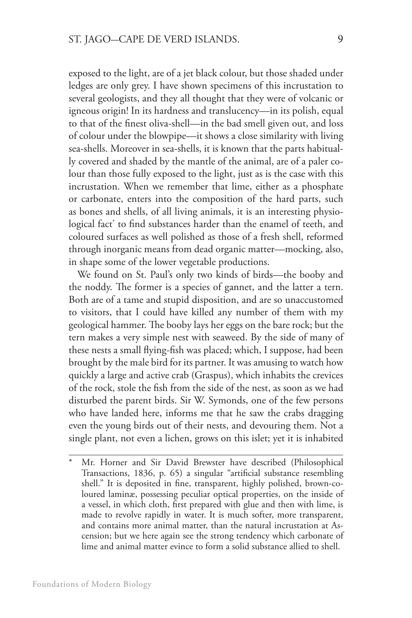exposed to the light, are of a jet black colour, but those shaded under ledges are only grey. I have shown specimens of this incrustation to several geologists, and they all thought that they were of volcanic or igneous origin! In its hardness and translucency—in its polish, equal to that of the finest oliva-shell—in the bad smell given out, and loss of colour under the blowpipe—it shows a close similarity with living sea-shells. Moreover in sea-shells, it is known that the parts habitually covered and shaded by the mantle of the animal, are of a paler colour than those fully exposed to the light, just as is the case with this incrustation. When we remember that lime, either as a phosphate or carbonate, enters into the composition of the hard parts, such as bones and shells, of all living animals, it is an interesting physiological fact\* to find substances harder than the enamel of teeth, and coloured surfaces as well polished as those of a fresh shell, reformed through inorganic means from dead organic matter—mocking, also, in shape some of the lower vegetable productions.

We found on St. Paul's only two kinds of birds—the booby and the noddy. The former is a species of gannet, and the latter a tern. Both are of a tame and stupid disposition, and are so unaccustomed to visitors, that I could have killed any number of them with my geological hammer. The booby lays her eggs on the bare rock; but the tern makes a very simple nest with seaweed. By the side of many of these nests a small flying-fish was placed; which, I suppose, had been brought by the male bird for its partner. It was amusing to watch how quickly a large and active crab (Graspus), which inhabits the crevices of the rock, stole the fish from the side of the nest, as soon as we had disturbed the parent birds. Sir W. Symonds, one of the few persons who have landed here, informs me that he saw the crabs dragging even the young birds out of their nests, and devouring them. Not a single plant, not even a lichen, grows on this islet; yet it is inhabited

Mr. Horner and Sir David Brewster have described (Philosophical Transactions, 1836, p. 65) a singular "artificial substance resembling shell." It is deposited in fine, transparent, highly polished, brown-coloured laminæ, possessing peculiar optical properties, on the inside of a vessel, in which cloth, first prepared with glue and then with lime, is made to revolve rapidly in water. It is much softer, more transparent, and contains more animal matter, than the natural incrustation at Ascension; but we here again see the strong tendency which carbonate of lime and animal matter evince to form a solid substance allied to shell.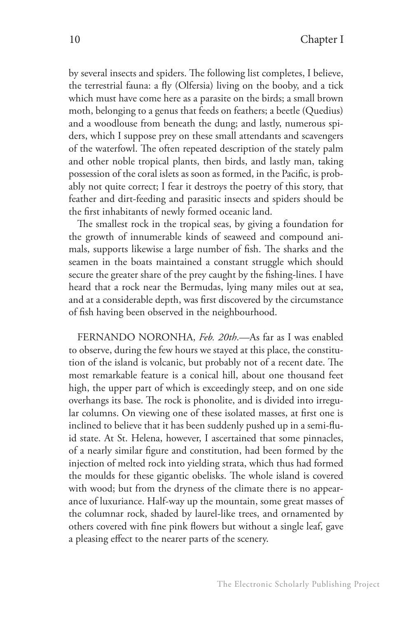by several insects and spiders. The following list completes, I believe, the terrestrial fauna: a fly (Olfersia) living on the booby, and a tick which must have come here as a parasite on the birds; a small brown moth, belonging to a genus that feeds on feathers; a beetle (Quedius) and a woodlouse from beneath the dung; and lastly, numerous spiders, which I suppose prey on these small attendants and scavengers of the waterfowl. The often repeated description of the stately palm and other noble tropical plants, then birds, and lastly man, taking possession of the coral islets as soon as formed, in the Pacific, is probably not quite correct; I fear it destroys the poetry of this story, that feather and dirt-feeding and parasitic insects and spiders should be the first inhabitants of newly formed oceanic land.

The smallest rock in the tropical seas, by giving a foundation for the growth of innumerable kinds of seaweed and compound animals, supports likewise a large number of fish. The sharks and the seamen in the boats maintained a constant struggle which should secure the greater share of the prey caught by the fishing-lines. I have heard that a rock near the Bermudas, lying many miles out at sea, and at a considerable depth, was first discovered by the circumstance of fish having been observed in the neighbourhood.

FERNANDO NORONHA, *Feb. 20th*.—As far as I was enabled to observe, during the few hours we stayed at this place, the constitution of the island is volcanic, but probably not of a recent date. The most remarkable feature is a conical hill, about one thousand feet high, the upper part of which is exceedingly steep, and on one side overhangs its base. The rock is phonolite, and is divided into irregular columns. On viewing one of these isolated masses, at first one is inclined to believe that it has been suddenly pushed up in a semi-fluid state. At St. Helena, however, I ascertained that some pinnacles, of a nearly similar figure and constitution, had been formed by the injection of melted rock into yielding strata, which thus had formed the moulds for these gigantic obelisks. The whole island is covered with wood; but from the dryness of the climate there is no appearance of luxuriance. Half-way up the mountain, some great masses of the columnar rock, shaded by laurel-like trees, and ornamented by others covered with fine pink flowers but without a single leaf, gave a pleasing effect to the nearer parts of the scenery.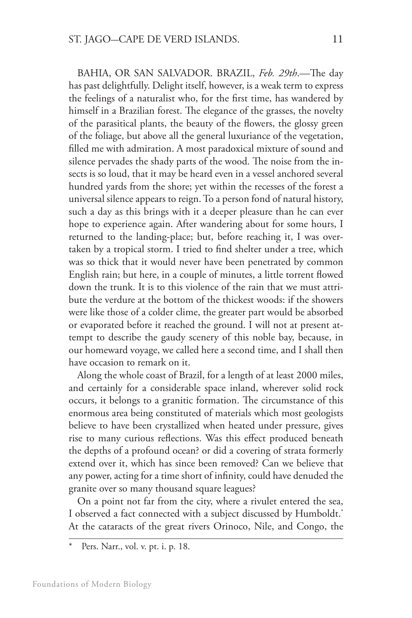BAHIA, OR SAN SALVADOR. BRAZIL, *Feb. 29th*.—The day has past delightfully. Delight itself, however, is a weak term to express the feelings of a naturalist who, for the first time, has wandered by himself in a Brazilian forest. The elegance of the grasses, the novelty of the parasitical plants, the beauty of the flowers, the glossy green of the foliage, but above all the general luxuriance of the vegetation, filled me with admiration. A most paradoxical mixture of sound and silence pervades the shady parts of the wood. The noise from the insects is so loud, that it may be heard even in a vessel anchored several hundred yards from the shore; yet within the recesses of the forest a universal silence appears to reign. To a person fond of natural history, such a day as this brings with it a deeper pleasure than he can ever hope to experience again. After wandering about for some hours, I returned to the landing-place; but, before reaching it, I was overtaken by a tropical storm. I tried to find shelter under a tree, which was so thick that it would never have been penetrated by common English rain; but here, in a couple of minutes, a little torrent flowed down the trunk. It is to this violence of the rain that we must attribute the verdure at the bottom of the thickest woods: if the showers were like those of a colder clime, the greater part would be absorbed or evaporated before it reached the ground. I will not at present attempt to describe the gaudy scenery of this noble bay, because, in our homeward voyage, we called here a second time, and I shall then have occasion to remark on it.

Along the whole coast of Brazil, for a length of at least 2000 miles, and certainly for a considerable space inland, wherever solid rock occurs, it belongs to a granitic formation. The circumstance of this enormous area being constituted of materials which most geologists believe to have been crystallized when heated under pressure, gives rise to many curious reflections. Was this effect produced beneath the depths of a profound ocean? or did a covering of strata formerly extend over it, which has since been removed? Can we believe that any power, acting for a time short of infinity, could have denuded the granite over so many thousand square leagues?

On a point not far from the city, where a rivulet entered the sea, I observed a fact connected with a subject discussed by Humboldt.<sup>\*</sup> At the cataracts of the great rivers Orinoco, Nile, and Congo, the

Pers. Narr., vol. v. pt. i. p. 18.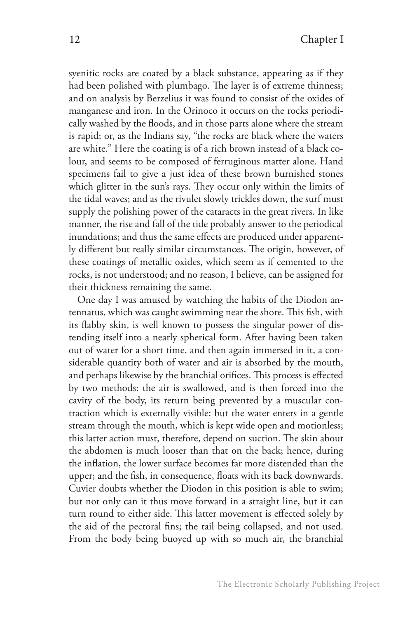syenitic rocks are coated by a black substance, appearing as if they had been polished with plumbago. The layer is of extreme thinness; and on analysis by Berzelius it was found to consist of the oxides of manganese and iron. In the Orinoco it occurs on the rocks periodically washed by the floods, and in those parts alone where the stream is rapid; or, as the Indians say, "the rocks are black where the waters are white." Here the coating is of a rich brown instead of a black colour, and seems to be composed of ferruginous matter alone. Hand specimens fail to give a just idea of these brown burnished stones which glitter in the sun's rays. They occur only within the limits of the tidal waves; and as the rivulet slowly trickles down, the surf must supply the polishing power of the cataracts in the great rivers. In like manner, the rise and fall of the tide probably answer to the periodical inundations; and thus the same effects are produced under apparently different but really similar circumstances. The origin, however, of these coatings of metallic oxides, which seem as if cemented to the rocks, is not understood; and no reason, I believe, can be assigned for their thickness remaining the same.

One day I was amused by watching the habits of the Diodon antennatus, which was caught swimming near the shore. This fish, with its flabby skin, is well known to possess the singular power of distending itself into a nearly spherical form. After having been taken out of water for a short time, and then again immersed in it, a considerable quantity both of water and air is absorbed by the mouth, and perhaps likewise by the branchial orifices. This process is effected by two methods: the air is swallowed, and is then forced into the cavity of the body, its return being prevented by a muscular contraction which is externally visible: but the water enters in a gentle stream through the mouth, which is kept wide open and motionless; this latter action must, therefore, depend on suction. The skin about the abdomen is much looser than that on the back; hence, during the inflation, the lower surface becomes far more distended than the upper; and the fish, in consequence, floats with its back downwards. Cuvier doubts whether the Diodon in this position is able to swim; but not only can it thus move forward in a straight line, but it can turn round to either side. This latter movement is effected solely by the aid of the pectoral fins; the tail being collapsed, and not used. From the body being buoyed up with so much air, the branchial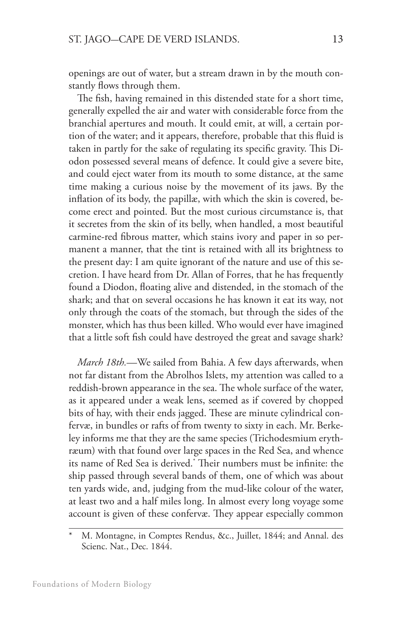openings are out of water, but a stream drawn in by the mouth constantly flows through them.

The fish, having remained in this distended state for a short time, generally expelled the air and water with considerable force from the branchial apertures and mouth. It could emit, at will, a certain portion of the water; and it appears, therefore, probable that this fluid is taken in partly for the sake of regulating its specific gravity. This Diodon possessed several means of defence. It could give a severe bite, and could eject water from its mouth to some distance, at the same time making a curious noise by the movement of its jaws. By the inflation of its body, the papillæ, with which the skin is covered, become erect and pointed. But the most curious circumstance is, that it secretes from the skin of its belly, when handled, a most beautiful carmine-red fibrous matter, which stains ivory and paper in so permanent a manner, that the tint is retained with all its brightness to the present day: I am quite ignorant of the nature and use of this secretion. I have heard from Dr. Allan of Forres, that he has frequently found a Diodon, floating alive and distended, in the stomach of the shark; and that on several occasions he has known it eat its way, not only through the coats of the stomach, but through the sides of the monster, which has thus been killed. Who would ever have imagined that a little soft fish could have destroyed the great and savage shark?

*March 18th.*—We sailed from Bahia. A few days afterwards, when not far distant from the Abrolhos Islets, my attention was called to a reddish-brown appearance in the sea. The whole surface of the water, as it appeared under a weak lens, seemed as if covered by chopped bits of hay, with their ends jagged. These are minute cylindrical confervæ, in bundles or rafts of from twenty to sixty in each. Mr. Berkeley informs me that they are the same species (Trichodesmium erythræum) with that found over large spaces in the Red Sea, and whence its name of Red Sea is derived.\* Their numbers must be infinite: the ship passed through several bands of them, one of which was about ten yards wide, and, judging from the mud-like colour of the water, at least two and a half miles long. In almost every long voyage some account is given of these confervæ. They appear especially common

M. Montagne, in Comptes Rendus, &c., Juillet, 1844; and Annal. des Scienc. Nat., Dec. 1844.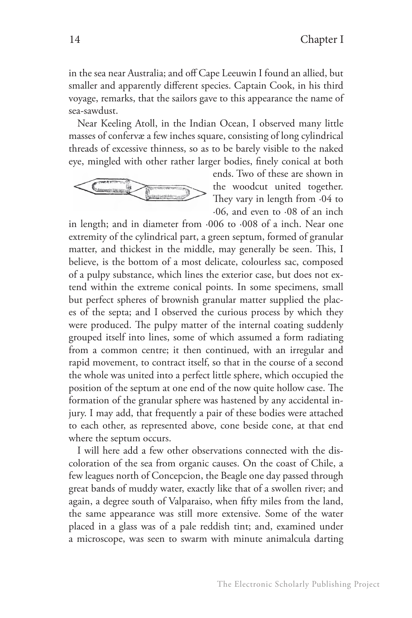in the sea near Australia; and off Cape Leeuwin I found an allied, but smaller and apparently different species. Captain Cook, in his third voyage, remarks, that the sailors gave to this appearance the name of sea-sawdust.

Near Keeling Atoll, in the Indian Ocean, I observed many little masses of confervæ a few inches square, consisting of long cylindrical threads of excessive thinness, so as to be barely visible to the naked eye, mingled with other rather larger bodies, finely conical at both



ends. Two of these are shown in the woodcut united together. They vary in length from ·04 to ·06, and even to ·08 of an inch

in length; and in diameter from ·006 to ·008 of a inch. Near one extremity of the cylindrical part, a green septum, formed of granular matter, and thickest in the middle, may generally be seen. This, I believe, is the bottom of a most delicate, colourless sac, composed of a pulpy substance, which lines the exterior case, but does not extend within the extreme conical points. In some specimens, small but perfect spheres of brownish granular matter supplied the places of the septa; and I observed the curious process by which they were produced. The pulpy matter of the internal coating suddenly grouped itself into lines, some of which assumed a form radiating from a common centre; it then continued, with an irregular and rapid movement, to contract itself, so that in the course of a second the whole was united into a perfect little sphere, which occupied the position of the septum at one end of the now quite hollow case. The formation of the granular sphere was hastened by any accidental injury. I may add, that frequently a pair of these bodies were attached to each other, as represented above, cone beside cone, at that end where the septum occurs.

I will here add a few other observations connected with the discoloration of the sea from organic causes. On the coast of Chile, a few leagues north of Concepcion, the Beagle one day passed through great bands of muddy water, exactly like that of a swollen river; and again, a degree south of Valparaiso, when fifty miles from the land, the same appearance was still more extensive. Some of the water placed in a glass was of a pale reddish tint; and, examined under a microscope, was seen to swarm with minute animalcula darting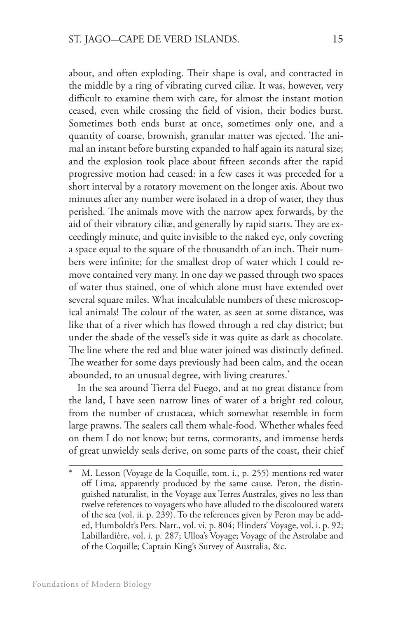about, and often exploding. Their shape is oval, and contracted in the middle by a ring of vibrating curved ciliæ. It was, however, very difficult to examine them with care, for almost the instant motion ceased, even while crossing the field of vision, their bodies burst. Sometimes both ends burst at once, sometimes only one, and a quantity of coarse, brownish, granular matter was ejected. The animal an instant before bursting expanded to half again its natural size; and the explosion took place about fifteen seconds after the rapid progressive motion had ceased: in a few cases it was preceded for a short interval by a rotatory movement on the longer axis. About two minutes after any number were isolated in a drop of water, they thus perished. The animals move with the narrow apex forwards, by the aid of their vibratory ciliæ, and generally by rapid starts. They are exceedingly minute, and quite invisible to the naked eye, only covering a space equal to the square of the thousandth of an inch. Their numbers were infinite; for the smallest drop of water which I could remove contained very many. In one day we passed through two spaces of water thus stained, one of which alone must have extended over several square miles. What incalculable numbers of these microscopical animals! The colour of the water, as seen at some distance, was like that of a river which has flowed through a red clay district; but under the shade of the vessel's side it was quite as dark as chocolate. The line where the red and blue water joined was distinctly defined. The weather for some days previously had been calm, and the ocean abounded, to an unusual degree, with living creatures.\*

In the sea around Tierra del Fuego, and at no great distance from the land, I have seen narrow lines of water of a bright red colour, from the number of crustacea, which somewhat resemble in form large prawns. The sealers call them whale-food. Whether whales feed on them I do not know; but terns, cormorants, and immense herds of great unwieldy seals derive, on some parts of the coast, their chief

M. Lesson (Voyage de la Coquille, tom. i., p. 255) mentions red water off Lima, apparently produced by the same cause. Peron, the distinguished naturalist, in the Voyage aux Terres Australes, gives no less than twelve references to voyagers who have alluded to the discoloured waters of the sea (vol. ii. p. 239). To the references given by Peron may be added, Humboldt's Pers. Narr., vol. vi. p. 804; Flinders' Voyage, vol. i. p. 92; Labillardière, vol. i. p. 287; Ulloa's Voyage; Voyage of the Astrolabe and of the Coquille; Captain King's Survey of Australia, &c.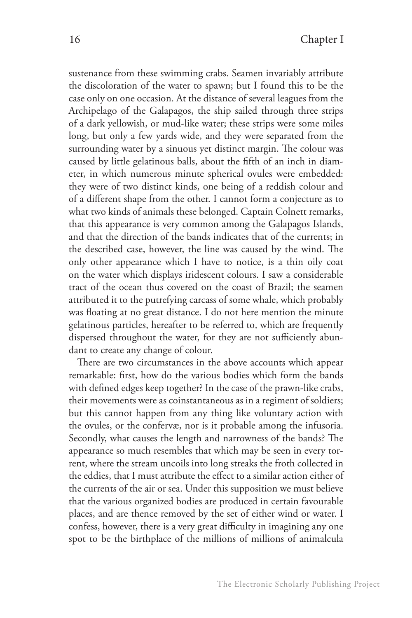sustenance from these swimming crabs. Seamen invariably attribute the discoloration of the water to spawn; but I found this to be the case only on one occasion. At the distance of several leagues from the Archipelago of the Galapagos, the ship sailed through three strips of a dark yellowish, or mud-like water; these strips were some miles long, but only a few yards wide, and they were separated from the surrounding water by a sinuous yet distinct margin. The colour was caused by little gelatinous balls, about the fifth of an inch in diameter, in which numerous minute spherical ovules were embedded: they were of two distinct kinds, one being of a reddish colour and of a different shape from the other. I cannot form a conjecture as to what two kinds of animals these belonged. Captain Colnett remarks, that this appearance is very common among the Galapagos Islands, and that the direction of the bands indicates that of the currents; in the described case, however, the line was caused by the wind. The only other appearance which I have to notice, is a thin oily coat on the water which displays iridescent colours. I saw a considerable tract of the ocean thus covered on the coast of Brazil; the seamen attributed it to the putrefying carcass of some whale, which probably was floating at no great distance. I do not here mention the minute gelatinous particles, hereafter to be referred to, which are frequently dispersed throughout the water, for they are not sufficiently abundant to create any change of colour.

There are two circumstances in the above accounts which appear remarkable: first, how do the various bodies which form the bands with defined edges keep together? In the case of the prawn-like crabs, their movements were as coinstantaneous as in a regiment of soldiers; but this cannot happen from any thing like voluntary action with the ovules, or the confervæ, nor is it probable among the infusoria. Secondly, what causes the length and narrowness of the bands? The appearance so much resembles that which may be seen in every torrent, where the stream uncoils into long streaks the froth collected in the eddies, that I must attribute the effect to a similar action either of the currents of the air or sea. Under this supposition we must believe that the various organized bodies are produced in certain favourable places, and are thence removed by the set of either wind or water. I confess, however, there is a very great difficulty in imagining any one spot to be the birthplace of the millions of millions of animalcula